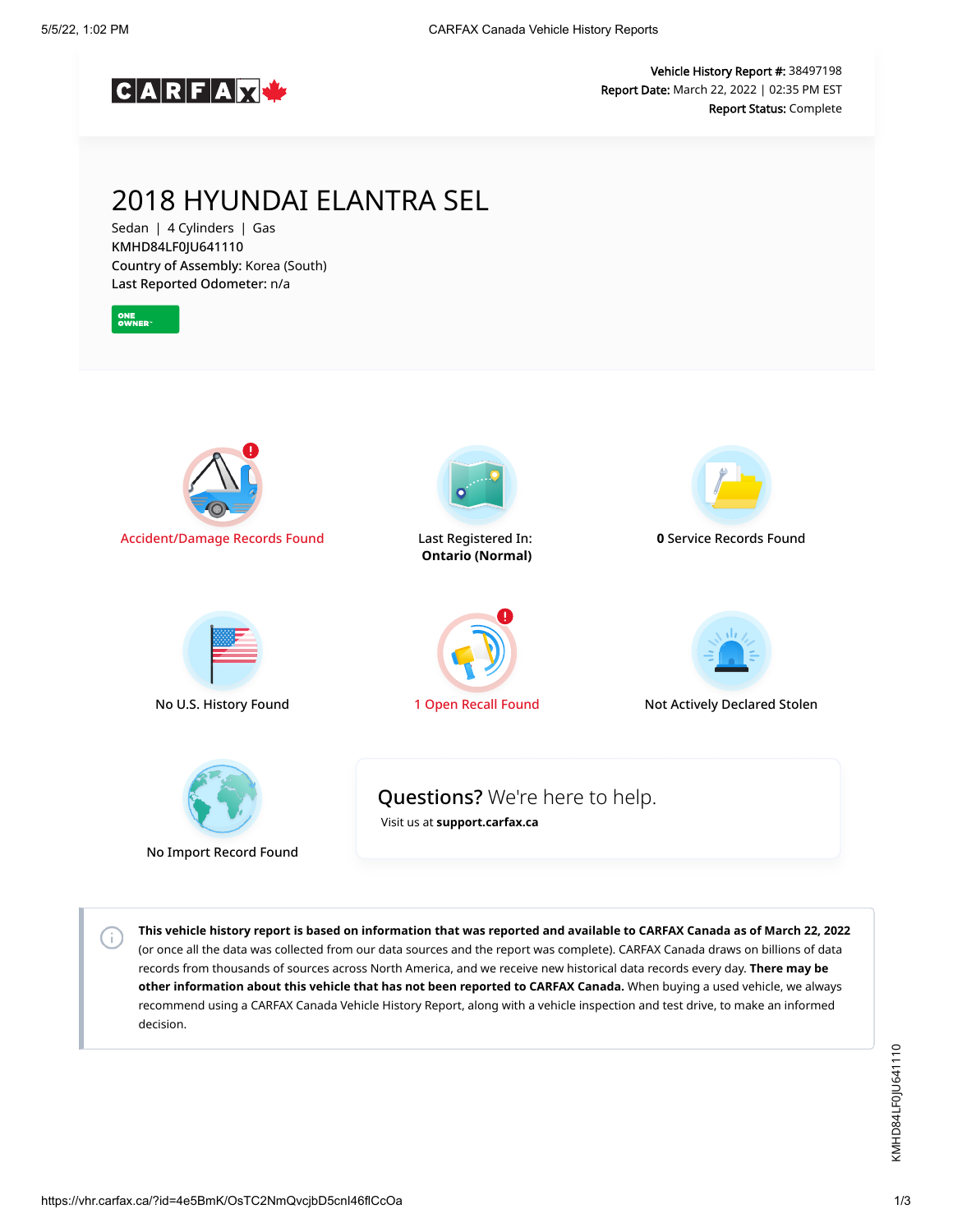

Vehicle History Report #: 38497198 Report Date: March 22, 2022 | 02:35 PM EST Report Status: Complete

## 2018 HYUNDAI ELANTRA SEL

Sedan | 4 Cylinders | Gas KMHD84LF0JU641110 Country of Assembly: Korea (South) Last Reported Odometer: n/a



**This vehicle history report is based on information that was reported and available to CARFAX Canada as of March 22, 2022** (or once all the data was collected from our data sources and the report was complete). CARFAX Canada draws on billions of data records from thousands of sources across North America, and we receive new historical data records every day. **There may be other information about this vehicle that has not been reported to CARFAX Canada.** When buying a used vehicle, we always recommend using a CARFAX Canada Vehicle History Report, along with a vehicle inspection and test drive, to make an informed decision.

 $\left( \cdot \right)$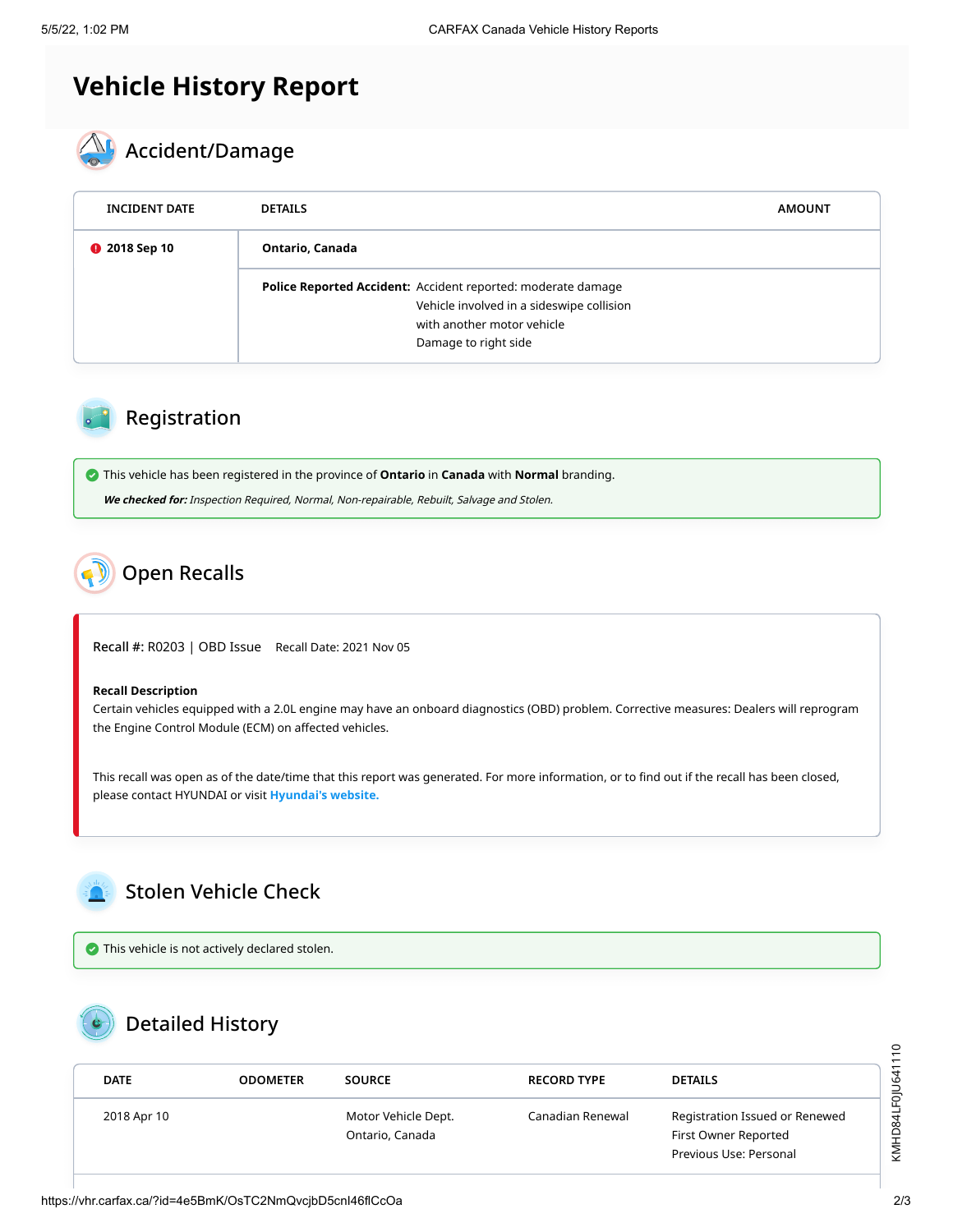# **Vehicle History Report**



| <b>INCIDENT DATE</b> | <b>DETAILS</b>                                                                                                                                                  | <b>AMOUNT</b> |
|----------------------|-----------------------------------------------------------------------------------------------------------------------------------------------------------------|---------------|
| <b>@</b> 2018 Sep 10 | Ontario, Canada                                                                                                                                                 |               |
|                      | Police Reported Accident: Accident reported: moderate damage<br>Vehicle involved in a sideswipe collision<br>with another motor vehicle<br>Damage to right side |               |

### Registration

This vehicle has been registered in the province of **Ontario** in **Canada** with **Normal** branding.

**We checked for:** Inspection Required, Normal, Non-repairable, Rebuilt, Salvage and Stolen.

### <span id="page-1-0"></span>Open Recalls

Recall #: R0203 | OBD Issue Recall Date: 2021 Nov 05

#### **Recall Description**

Certain vehicles equipped with a 2.0L engine may have an onboard diagnostics (OBD) problem. Corrective measures: Dealers will reprogram the Engine Control Module (ECM) on affected vehicles.

This recall was open as of the date/time that this report was generated. For more information, or to find out if the recall has been closed, please contact HYUNDAI or visit **[Hyundai's website.](https://recall.hyundaicanada.com/)**

<span id="page-1-1"></span>

 $\bullet$  This vehicle is not actively declared stolen.

### Detailed History

| <b>DATE</b> | <b>ODOMETER</b> | <b>SOURCE</b>                          | <b>RECORD TYPE</b> | <b>DETAILS</b>                                         |
|-------------|-----------------|----------------------------------------|--------------------|--------------------------------------------------------|
| 2018 Apr 10 |                 | Motor Vehicle Dept.<br>Ontario, Canada | Canadian Renewal   | Registration Issued or Renewed<br>First Owner Reported |
|             |                 |                                        |                    | Previous Use: Personal                                 |